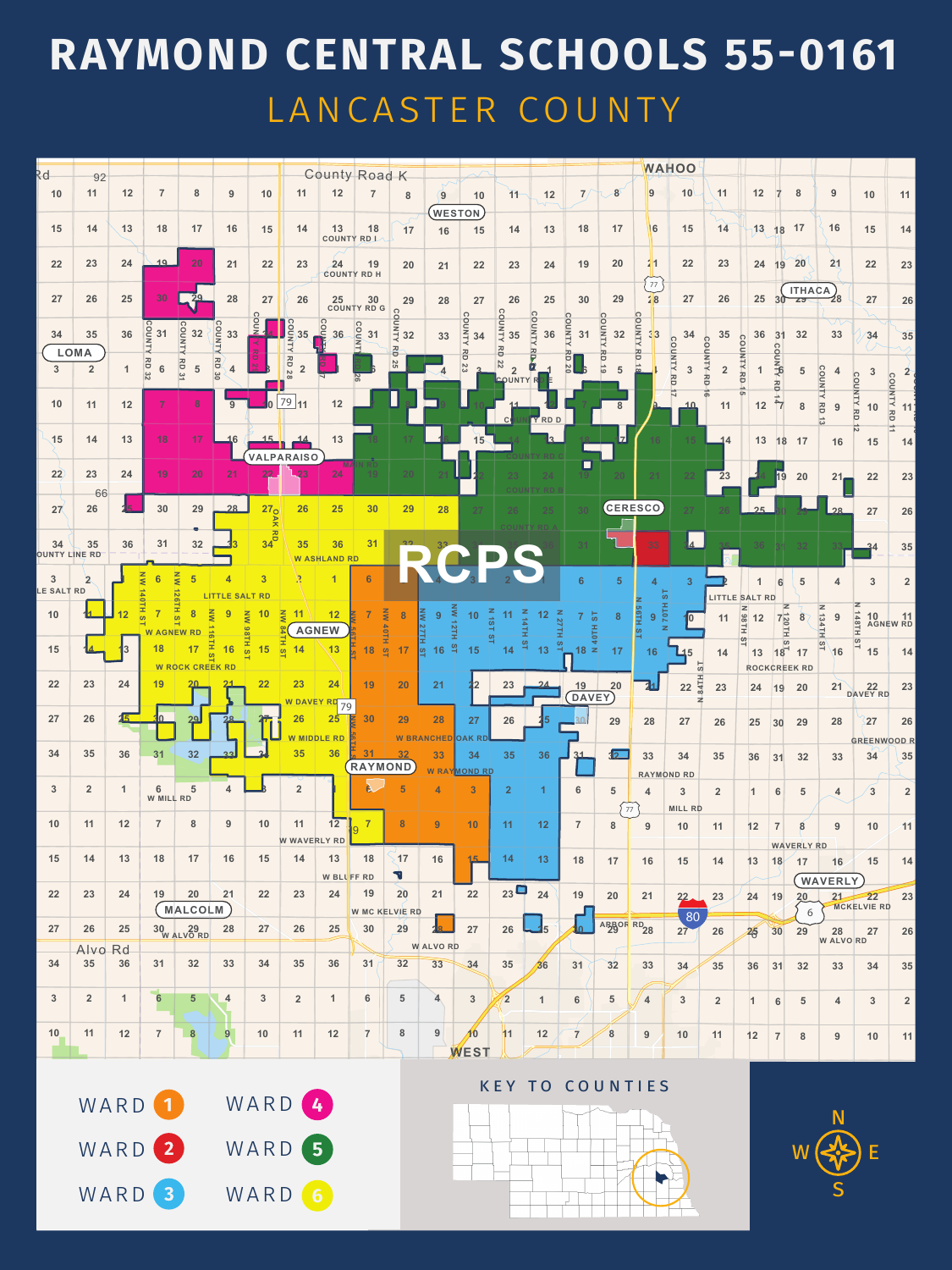| Rd                           |                            |      |                   |                              |                                                           |                                                                |                                       |                           | <b>County Road K</b>                                                                     |                                                                 |                                |                           |                                  |                                       |                     |                         |                   | WAHOO                                           |                           |                                      |                    |                           |                        |                          |                           |
|------------------------------|----------------------------|------|-------------------|------------------------------|-----------------------------------------------------------|----------------------------------------------------------------|---------------------------------------|---------------------------|------------------------------------------------------------------------------------------|-----------------------------------------------------------------|--------------------------------|---------------------------|----------------------------------|---------------------------------------|---------------------|-------------------------|-------------------|-------------------------------------------------|---------------------------|--------------------------------------|--------------------|---------------------------|------------------------|--------------------------|---------------------------|
| 10                           | 92<br>11                   | $12$ | $\overline{7}$    | 8                            | 9                                                         | 10                                                             | 11                                    | 12                        |                                                                                          | 8                                                               | $\mathbf{9}$                   | 10                        | 11                               | 12                                    |                     | $\overline{\mathbf{8}}$ | 9                 | 10                                              | $\sqrt{11}$               | 12                                   |                    | 8                         | 9                      | 10                       | 11                        |
| 15                           | 14                         | 13   | 18                | 17                           | 16                                                        | 15                                                             | 14                                    | 13                        | 18                                                                                       | 17                                                              | WESTON<br>16                   | 15                        | 14                               | 13                                    | 18                  | 17                      | 16                | 15                                              | 14                        | 13                                   | 18                 | 17                        | 16                     | 15                       | 14                        |
| 22                           | 23                         | 24   | $19 -$            | 20                           | 21                                                        | 22                                                             | 23                                    | 24                        | COUNTY RD L<br>19                                                                        | 20                                                              |                                | 22                        | 23                               | 24                                    | 19                  | 20                      | 2 1               | 22                                              | 23                        | 24                                   | 19                 | 20                        | 21                     | 22                       | 23                        |
|                              |                            |      |                   |                              |                                                           |                                                                |                                       |                           | <b>COUNTY RD H</b>                                                                       |                                                                 | 21                             |                           |                                  |                                       |                     |                         | 77                |                                                 |                           |                                      |                    | <b>ITHACA</b>             |                        |                          |                           |
| 27                           | 26                         | 25   | 30<br>$\Omega$    |                              | 28                                                        | 27<br>$\Omega$                                                 | 26                                    |                           | $\begin{array}{ c c c }\n 25 & 30 \\ \hline\n \text{COUNTY RD G} & \Omega\n \end{array}$ | 29<br>$\circ$                                                   | 28                             | 27<br>O                   | 26<br>$\frac{2111000}{35}$       | 25                                    | 30                  | 29                      | 2 8               | 27                                              | 26                        | 25                                   | $30^{\circ}$       | 52                        | $\vee\vee$             | 27                       | 26                        |
| 34                           | 35<br><b>LOMA</b>          | 36   | $\frac{10}{5}$ 31 | COUN<br>32                   | COUN<br>33                                                | <u>D</u>                                                       | $\frac{10}{2}$ 35                     | $\frac{1}{2}$<br>36       | COUNT<br>31                                                                              | $\frac{1}{4}$ 32<br>$\sum_{i=1}^{n}$<br>$\overline{\mathbf{C}}$ | 33                             | <b>ALNNO</b><br>34<br>공   | ᅎ<br>o                           | COUNTY<br>36                          | COUNTY<br>31        | COUNT<br>32             | COUNTY<br>33<br>ᄍ | 34<br>$\circ$<br>$\circ$                        | 35<br>$\circ$             | 36<br>ဂ                              | 31                 | 32                        | 33                     | 34                       | 35                        |
| 3 <sup>1</sup>               | $\overline{2}$             |      | <b>RD 32</b><br>6 | RD<br>5<br>$\frac{2}{1}$     | B <sub>N</sub><br>$\overline{\mathbf{A}}$<br>$rac{30}{2}$ | Ō                                                              | RD<br>$\overline{2}$<br>$\frac{8}{2}$ |                           | $\overline{56}$                                                                          | <b>25</b>                                                       |                                |                           | 22<br>$\overline{2}$<br>COUNTY R | $\mathbf{E}$                          | 레<br>$\frac{1}{20}$ | 5                       | Þ                 | 3                                               | $\overline{2}$            | $\frac{1}{R}$                        | <b>AJNN</b><br>고   | 5                         | COUN                   | $\mathbf{3}$<br>co       | 2<br>∣റା                  |
| 10                           | 11                         | 12   |                   | $\bf{8}$                     | 9                                                         | l0                                                             | $\frac{79}{11}$                       | 12                        |                                                                                          |                                                                 |                                |                           |                                  |                                       |                     | 8                       |                   | <u>10</u>                                       | 11                        | 12                                   |                    | 8                         | $\frac{1}{2}$<br>9     | <b>NTY RD</b><br>10      | <b>VTNUO</b><br>111<br> ಸ |
| $\sqrt{15}$                  | 14                         | 13   | 18                | 17                           |                                                           | 15                                                             | <u> 14</u>                            | 13                        |                                                                                          |                                                                 |                                | 15                        | c                                | <b>TY RD D</b><br>$\mathbf{R}$        |                     |                         | 16                |                                                 | $\overline{\mathbf{1}}$ 4 | 13                                   | 18                 | 17                        | 16                     | 15                       | $\Box$<br>14              |
| 22                           | 23                         | 24   | 19                | 20                           | 21                                                        | 22                                                             | <b>VALPARAISO</b><br>23               | M/<br>24                  |                                                                                          | 20                                                              |                                |                           |                                  |                                       |                     | 20                      | 21                | 22                                              | 23                        |                                      |                    |                           |                        |                          |                           |
|                              | 66                         |      |                   |                              |                                                           |                                                                |                                       |                           |                                                                                          |                                                                 |                                |                           |                                  |                                       |                     |                         |                   |                                                 |                           |                                      | 19                 | 20                        | $21 -$                 | 22                       | 23                        |
| 27                           | 26                         |      | 30                | 29                           | 28                                                        | 27 <sub>o</sub><br>$\triangleright$<br>$\overline{\mathbf{z}}$ | 26                                    | 25                        | 30                                                                                       | 29                                                              | 28                             | 27                        | 26                               | 25                                    | 30                  |                         | <b>CERESCO</b>    |                                                 |                           | 25                                   |                    |                           | 28                     | 27                       | 26                        |
| 34                           | 35<br><b>OUNTY LINE RD</b> | 36   | 31                | 32                           |                                                           | $34\overline{5}$                                               | 35                                    | 36<br><b>W ASHLAND RD</b> | 31                                                                                       | ??                                                              |                                |                           |                                  |                                       |                     |                         | 33                | $\sqrt{4}$                                      |                           |                                      |                    |                           |                        | 34                       | 35                        |
| $\overline{3}$<br>LE SALT RD |                            |      |                   | $\zeta$<br>5<br>$\mathbf{N}$ | <b>LITTLE SALT RD</b>                                     | 3                                                              |                                       |                           | 6                                                                                        |                                                                 |                                |                           |                                  |                                       |                     | 5 <sup>5</sup>          |                   |                                                 |                           |                                      |                    | 5                         |                        | $\overline{3}$           | 2 <sup>2</sup>            |
| 10                           |                            |      |                   |                              |                                                           | <b>10</b><br>KW                                                | $\overline{\mathsf{M}}$               |                           |                                                                                          |                                                                 |                                |                           |                                  |                                       | 5 <sup>1</sup>      | 8                       | 9                 | $\overline{70}$<br>$\overline{\mathbf{0}}$<br>- |                           | LITTLE SALT RD<br>$\mathbf{z}$<br>86 | z<br>$rac{120}{1}$ |                           | $\vert z \vert$<br>134 | 48TH                     | 10<br>AGNEW RD            |
| 15                           |                            |      | <b>W AGNEW</b>    | 17                           | Ξ<br>16                                                   | 86<br>보<br>15<br>$\sigma$                                      | H ST<br>14                            | <b>AGNEW</b><br>13        | 18                                                                                       | ဖ                                                               |                                | 15                        | ÷                                | 13                                    | $18 \le$            | 17                      | 16                | $\Box$ 5                                        | 14                        | 13                                   | တ<br>18            | 17                        | 16                     | $\frac{1}{6}$<br>15      | 14                        |
| 22                           | 23                         | 24   | 19                | <b>W ROCK CREEK RD</b>       |                                                           | 22                                                             | 23                                    | 24                        | 19                                                                                       | 20                                                              | 21                             |                           | 23                               | 24                                    | 19                  | 20                      |                   | 84TH<br>22                                      | $\omega$<br>23            |                                      |                    | <b>ROCKCREEK RD</b><br>20 | 21                     |                          | 23                        |
|                              |                            |      |                   |                              |                                                           |                                                                | W DAVEY RD 79                         |                           |                                                                                          |                                                                 |                                |                           |                                  |                                       | DAVEY               |                         |                   |                                                 |                           | 24                                   | 19                 |                           |                        | DAVEY RD                 |                           |
| 27                           | 26                         |      |                   | 29.                          |                                                           |                                                                | 26<br><b>W MIDDLE RD</b>              | 25                        | 30                                                                                       | 29                                                              | 28<br><b>CHED</b>              | 27                        | 26                               |                                       |                     | 29                      | 28                | 27                                              | 26                        | 25                                   | 30                 | 29                        | 28                     | 27<br><b>GREENWOOD R</b> | 26                        |
| 34                           | 35                         | 36   | 31                | 32                           | 22                                                        |                                                                | 35                                    | 36                        | RAYMOND                                                                                  |                                                                 | 33                             | 34<br><b>W RAYMOND RD</b> | 35                               | 36                                    | 31                  | $\overline{12}$         | 33                | 34<br><b>RAYMOND RD</b>                         | 35                        | 36                                   | 31                 | 32                        | 33                     | 34                       | 35                        |
| 3 <sup>2</sup>               | $\overline{2}$             |      | 6<br>W MILL RD    | 5                            |                                                           |                                                                |                                       |                           | R                                                                                        | 5                                                               |                                | $\mathbf{R}$              | $\overline{2}$                   |                                       | 6                   | 5 <sup>5</sup>          | $\overline{4}$    | $\mathbf{3}$                                    | $\overline{2}$            |                                      | 6                  | 5 <sup>5</sup>            | 4                      | $\overline{3}$           | 2 <sup>2</sup>            |
| 10                           | 11                         | 12   |                   | 8                            | 9                                                         | 10                                                             | 11                                    | 12                        |                                                                                          | 8                                                               | 9                              | 10                        | 11                               | 12                                    | $\overline{ }$      | 77<br>8                 | 9                 | <b>MILL RD</b><br>10                            | 11                        | 12                                   |                    | 8                         | 9                      | 10                       | $\vert$ 11                |
| 15                           | 14                         | 13   | 18                | 17                           | 16                                                        | 15                                                             | <b>W WAVERLY RD</b><br>14             | 13                        | 18                                                                                       | 17                                                              | 16                             |                           | 14                               | 13                                    | 18                  | 17                      | 16                | 15                                              | 14                        | 13                                   | 18                 | <b>WAVERLY RD</b><br>17   | 16                     | 15                       | 14                        |
| 22                           | 23                         | 24   | 19                | 20                           | 21                                                        | 22                                                             | 23                                    | W BLUFF RD<br>24          | 19                                                                                       | V<br>20                                                         | 21                             | 22                        | $23\Box$                         | 24                                    | 19                  | 20                      | 21                | 22.                                             | 23                        | 24                                   | 19                 | 20 <sub>1</sub>           | WAVERLY<br>21          | $\overline{22}$          | 23                        |
|                              |                            |      |                   | <b>MALCOLM</b>               |                                                           |                                                                |                                       |                           | <b>W MC KELVIE RD</b>                                                                    |                                                                 |                                |                           |                                  |                                       |                     | ARBOR RD <sub>28</sub>  |                   | 80                                              |                           |                                      |                    | 6                         |                        | MCKELVIE RD              |                           |
| 27                           | 26<br>Alvo Rd              | 25   |                   | 30 29 W ALVO RD              | 28                                                        | 27                                                             | 26                                    | 25                        | 30                                                                                       | 29                                                              | <b>18_</b><br><b>W ALVO RD</b> | 27                        | 26                               | $\begin{array}{c} \hline \end{array}$ |                     |                         |                   | 27                                              | 26                        | 25                                   | 30                 | 29                        | 28<br><b>W ALVO RD</b> | 27                       | 26                        |
| 34                           | 35                         | 36   | 31                | 32                           | 33                                                        | 34                                                             | 35                                    | 36                        | 31                                                                                       | 32                                                              | 33                             | 34                        | 35                               | $\sqrt{36}$                           | 31                  | 32                      | 33                | 34                                              | 35                        | 36                                   | 31                 | 32                        | 33                     | 34                       | 35                        |
| 3                            | $\overline{2}$             |      | اس ا<br>6         | 5 <sup>5</sup>               | $\overline{\bf{4}}$                                       | 3 <sup>1</sup>                                                 | $\overline{2}$                        | $\overline{1}$            | 6                                                                                        | 5                                                               | 4                              | $\mathbf{3}$              | $\overline{2}$                   |                                       | 6                   | 5 <sub>2</sub>          | 4                 | $\mathbf{3}$                                    | $\overline{2}$            |                                      | 6                  | 5 <sup>5</sup>            | 4                      | $\mathbf{3}$             | 2 <sub>2</sub>            |
| 10                           | 11                         | 12   | $\overline{7}$    | $\boldsymbol{8}$             | 9 <sup>°</sup>                                            | 10                                                             | 11                                    | 12                        | $\overline{7}$                                                                           | $\boldsymbol{8}$                                                | 9                              |                           | 11                               | 12                                    | $\overline{7}$      | 8                       | 9                 | 10                                              | 11                        | 12                                   | $\overline{7}$     | 8                         | 9                      | 10                       | 11                        |
|                              |                            |      |                   |                              |                                                           |                                                                |                                       |                           |                                                                                          |                                                                 |                                | WEST                      |                                  |                                       |                     |                         |                   |                                                 |                           |                                      |                    |                           |                        |                          |                           |

## **RAYMOND CENTRAL SCHOOLS 55-0161** LANCASTER COUNTY